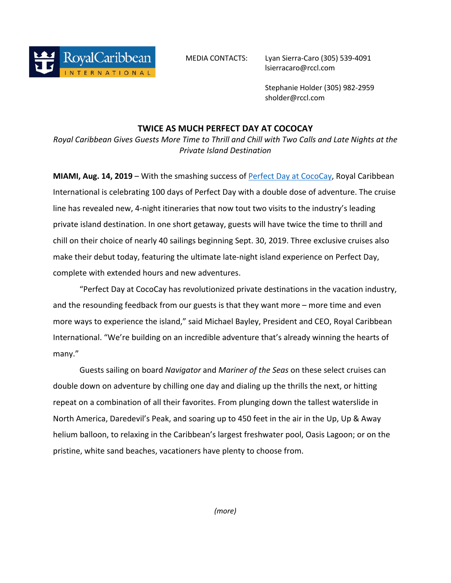

MEDIA CONTACTS: Lyan Sierra-Caro (305) 539-4091 lsierracaro@rccl.com

> Stephanie Holder (305) 982-2959 sholder@rccl.com

## **TWICE AS MUCH PERFECT DAY AT COCOCAY**

*Royal Caribbean Gives Guests More Time to Thrill and Chill with Two Calls and Late Nights at the Private Island Destination*

**MIAMI, Aug. 14, 2019** – With the smashing success of **Perfect Day at CocoCay**, Royal Caribbean International is celebrating 100 days of Perfect Day with a double dose of adventure. The cruise line has revealed new, 4-night itineraries that now tout two visits to the industry's leading private island destination. In one short getaway, guests will have twice the time to thrill and chill on their choice of nearly 40 sailings beginning Sept. 30, 2019. Three exclusive cruises also make their debut today, featuring the ultimate late-night island experience on Perfect Day, complete with extended hours and new adventures.

"Perfect Day at CocoCay has revolutionized private destinations in the vacation industry, and the resounding feedback from our guests is that they want more – more time and even more ways to experience the island," said Michael Bayley, President and CEO, Royal Caribbean International. "We're building on an incredible adventure that's already winning the hearts of many."

Guests sailing on board *Navigator* and *Mariner of the Seas* on these select cruises can double down on adventure by chilling one day and dialing up the thrills the next, or hitting repeat on a combination of all their favorites. From plunging down the tallest waterslide in North America, Daredevil's Peak, and soaring up to 450 feet in the air in the Up, Up & Away helium balloon, to relaxing in the Caribbean's largest freshwater pool, Oasis Lagoon; or on the pristine, white sand beaches, vacationers have plenty to choose from.